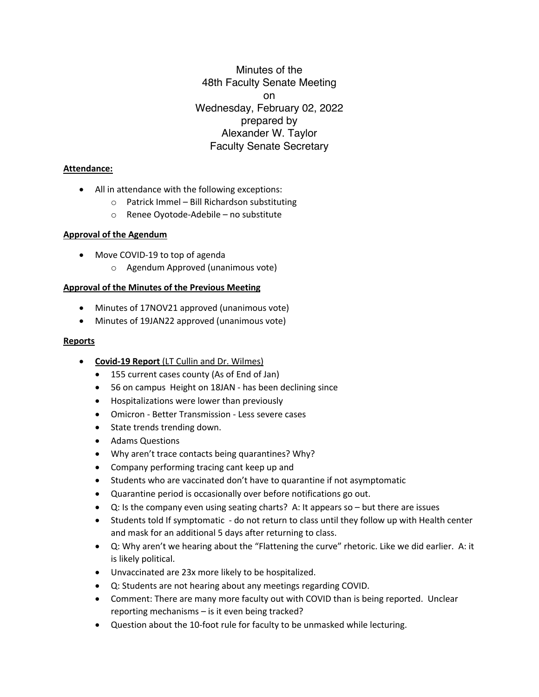Minutes of the 48th Faculty Senate Meeting on Wednesday, February 02, 2022 prepared by Alexander W. Taylor Faculty Senate Secretary

### **Attendance:**

- All in attendance with the following exceptions:
	- o Patrick Immel Bill Richardson substituting
	- o Renee Oyotode-Adebile no substitute

### **Approval of the Agendum**

- Move COVID-19 to top of agenda
	- o Agendum Approved (unanimous vote)

# **Approval of the Minutes of the Previous Meeting**

- Minutes of 17NOV21 approved (unanimous vote)
- Minutes of 19JAN22 approved (unanimous vote)

### **Reports**

- **Covid-19 Report** (LT Cullin and Dr. Wilmes)
	- 155 current cases county (As of End of Jan)
	- 56 on campus Height on 18JAN has been declining since
	- Hospitalizations were lower than previously
	- Omicron Better Transmission Less severe cases
	- State trends trending down.
	- Adams Questions
	- Why aren't trace contacts being quarantines? Why?
	- Company performing tracing cant keep up and
	- Students who are vaccinated don't have to quarantine if not asymptomatic
	- Quarantine period is occasionally over before notifications go out.
	- Q: Is the company even using seating charts? A: It appears so but there are issues
	- Students told If symptomatic do not return to class until they follow up with Health center and mask for an additional 5 days after returning to class.
	- Q: Why aren't we hearing about the "Flattening the curve" rhetoric. Like we did earlier. A: it is likely political.
	- Unvaccinated are 23x more likely to be hospitalized.
	- Q: Students are not hearing about any meetings regarding COVID.
	- Comment: There are many more faculty out with COVID than is being reported. Unclear reporting mechanisms – is it even being tracked?
	- Question about the 10-foot rule for faculty to be unmasked while lecturing.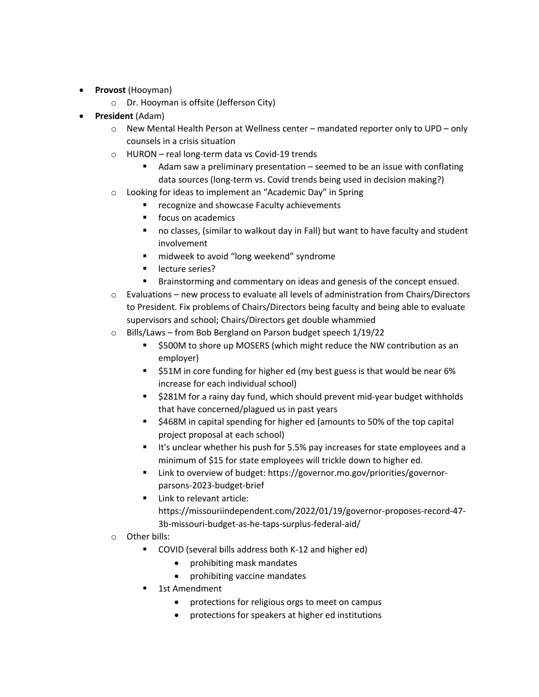- **Provost** (Hooyman)
	- o Dr. Hooyman is offsite (Jefferson City)
- **President** (Adam)
	- $\circ$  New Mental Health Person at Wellness center mandated reporter only to UPD only counsels in a crisis situation
	- o HURON real long-term data vs Covid-19 trends
		- Adam saw a preliminary presentation seemed to be an issue with conflating data sources (long-term vs. Covid trends being used in decision making?)
	- o Looking for ideas to implement an "Academic Day" in Spring
		- recognize and showcase Faculty achievements
		- focus on academics
		- no classes, (similar to walkout day in Fall) but want to have faculty and student involvement
		- midweek to avoid "long weekend" syndrome
		- lecture series?
		- § Brainstorming and commentary on ideas and genesis of the concept ensued.
	- o Evaluations new process to evaluate all levels of administration from Chairs/Directors to President. Fix problems of Chairs/Directors being faculty and being able to evaluate supervisors and school; Chairs/Directors get double whammied
	- o Bills/Laws from Bob Bergland on Parson budget speech 1/19/22
		- § \$500M to shore up MOSERS (which might reduce the NW contribution as an employer)
		- \$51M in core funding for higher ed (my best guess is that would be near 6% increase for each individual school)
		- \$281M for a rainy day fund, which should prevent mid-year budget withholds that have concerned/plagued us in past years
		- § \$468M in capital spending for higher ed (amounts to 50% of the top capital project proposal at each school)
		- It's unclear whether his push for 5.5% pay increases for state employees and a minimum of \$15 for state employees will trickle down to higher ed.
		- § Link to overview of budget: https://governor.mo.gov/priorities/governorparsons-2023-budget-brief
		- Link to relevant article: https://missouriindependent.com/2022/01/19/governor-proposes-record-47- 3b-missouri-budget-as-he-taps-surplus-federal-aid/
	- o Other bills:
		- COVID (several bills address both K-12 and higher ed)
			- prohibiting mask mandates
			- prohibiting vaccine mandates
		- 1st Amendment
			- protections for religious orgs to meet on campus
			- protections for speakers at higher ed institutions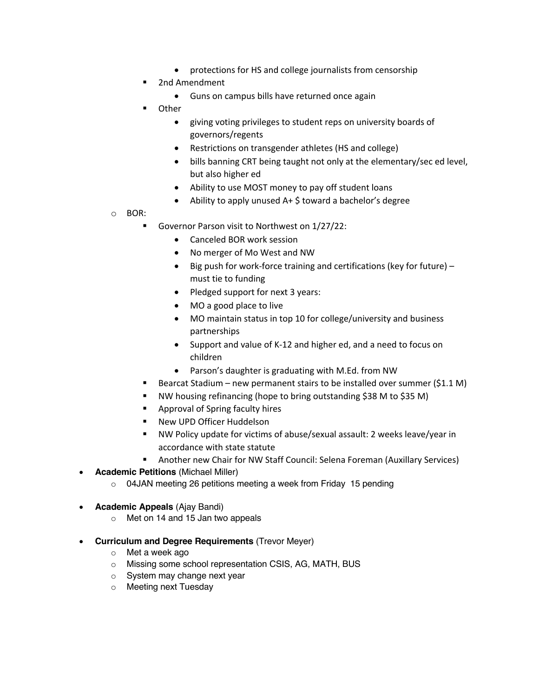- protections for HS and college journalists from censorship
- § 2nd Amendment
	- Guns on campus bills have returned once again
- Other
	- giving voting privileges to student reps on university boards of governors/regents
	- Restrictions on transgender athletes (HS and college)
	- bills banning CRT being taught not only at the elementary/sec ed level, but also higher ed
	- Ability to use MOST money to pay off student loans
	- Ability to apply unused A+ \$ toward a bachelor's degree
- o BOR:
	- Governor Parson visit to Northwest on 1/27/22:
		- Canceled BOR work session
		- No merger of Mo West and NW
		- Big push for work-force training and certifications (key for future) must tie to funding
		- Pledged support for next 3 years:
		- MO a good place to live
		- MO maintain status in top 10 for college/university and business partnerships
		- Support and value of K-12 and higher ed, and a need to focus on children
		- Parson's daughter is graduating with M.Ed. from NW
	- § Bearcat Stadium new permanent stairs to be installed over summer (\$1.1 M)
	- § NW housing refinancing (hope to bring outstanding \$38 M to \$35 M)
	- Approval of Spring faculty hires
	- § New UPD Officer Huddelson
	- § NW Policy update for victims of abuse/sexual assault: 2 weeks leave/year in accordance with state statute
	- § Another new Chair for NW Staff Council: Selena Foreman (Auxillary Services)
- **Academic Petitions** (Michael Miller)
	- o 04JAN meeting 26 petitions meeting a week from Friday 15 pending
- **Academic Appeals** (Ajay Bandi)
	- o Met on 14 and 15 Jan two appeals
- **Curriculum and Degree Requirements** (Trevor Meyer)
	- o Met a week ago
	- o Missing some school representation CSIS, AG, MATH, BUS
	- o System may change next year
	- o Meeting next Tuesday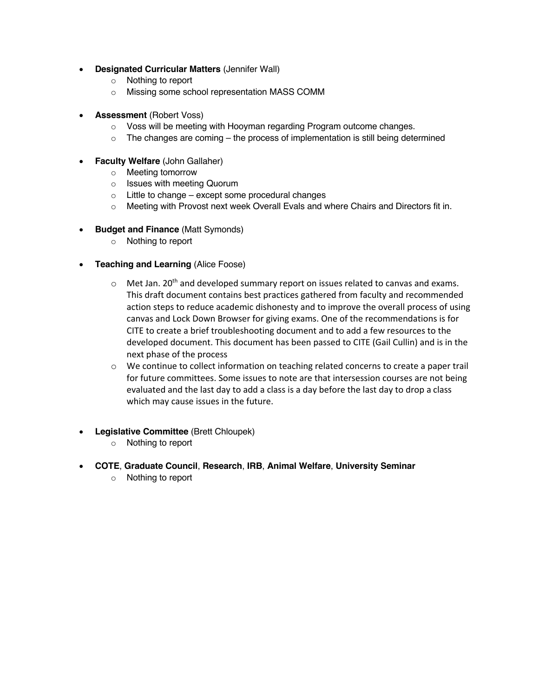- **Designated Curricular Matters** (Jennifer Wall)
	- o Nothing to report
	- o Missing some school representation MASS COMM
- **Assessment** (Robert Voss)
	- o Voss will be meeting with Hooyman regarding Program outcome changes.
	- $\circ$  The changes are coming the process of implementation is still being determined
- **Faculty Welfare** (John Gallaher)
	- o Meeting tomorrow
	- o Issues with meeting Quorum
	- $\circ$  Little to change except some procedural changes
	- o Meeting with Provost next week Overall Evals and where Chairs and Directors fit in.
- **Budget and Finance** (Matt Symonds)
	- o Nothing to report
- **Teaching and Learning** (Alice Foose)
	- $\circ$  Met Jan. 20<sup>th</sup> and developed summary report on issues related to canvas and exams. This draft document contains best practices gathered from faculty and recommended action steps to reduce academic dishonesty and to improve the overall process of using canvas and Lock Down Browser for giving exams. One of the recommendations is for CITE to create a brief troubleshooting document and to add a few resources to the developed document. This document has been passed to CITE (Gail Cullin) and is in the next phase of the process
	- o We continue to collect information on teaching related concerns to create a paper trail for future committees. Some issues to note are that intersession courses are not being evaluated and the last day to add a class is a day before the last day to drop a class which may cause issues in the future.
- **Legislative Committee** (Brett Chloupek)
	- o Nothing to report
- **COTE**, **Graduate Council**, **Research**, **IRB**, **Animal Welfare**, **University Seminar**
	- o Nothing to report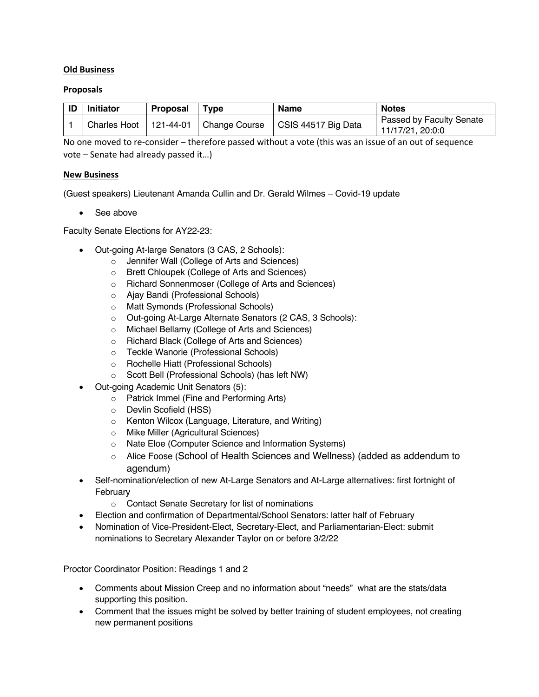### **Old Business**

### **Proposals**

| -ID | <b>Initiator</b> | <b>Proposal</b> | <b>Type</b>               | <b>Name</b>         | <b>Notes</b>                                 |
|-----|------------------|-----------------|---------------------------|---------------------|----------------------------------------------|
|     | Charles Hoot     |                 | $121-44-01$ Change Course | CSIS 44517 Big Data | Passed by Faculty Senate<br>11/17/21, 20:0:0 |

No one moved to re-consider – therefore passed without a vote (this was an issue of an out of sequence vote – Senate had already passed it…)

### **New Business**

(Guest speakers) Lieutenant Amanda Cullin and Dr. Gerald Wilmes – Covid-19 update

• See above

Faculty Senate Elections for AY22-23:

- Out-going At-large Senators (3 CAS, 2 Schools):
	- o Jennifer Wall (College of Arts and Sciences)
	- o Brett Chloupek (College of Arts and Sciences)
	- o Richard Sonnenmoser (College of Arts and Sciences)
	- o Ajay Bandi (Professional Schools)
	- o Matt Symonds (Professional Schools)
	- o Out-going At-Large Alternate Senators (2 CAS, 3 Schools):
	- o Michael Bellamy (College of Arts and Sciences)
	- o Richard Black (College of Arts and Sciences)
	- o Teckle Wanorie (Professional Schools)
	- o Rochelle Hiatt (Professional Schools)
	- o Scott Bell (Professional Schools) (has left NW)
- Out-going Academic Unit Senators (5):
	- o Patrick Immel (Fine and Performing Arts)
	- o Devlin Scofield (HSS)
	- o Kenton Wilcox (Language, Literature, and Writing)
	- o Mike Miller (Agricultural Sciences)
	- o Nate Eloe (Computer Science and Information Systems)
	- o Alice Foose (School of Health Sciences and Wellness) (added as addendum to agendum)
- Self-nomination/election of new At-Large Senators and At-Large alternatives: first fortnight of February
	- o Contact Senate Secretary for list of nominations
- Election and confirmation of Departmental/School Senators: latter half of February
- Nomination of Vice-President-Elect, Secretary-Elect, and Parliamentarian-Elect: submit nominations to Secretary Alexander Taylor on or before 3/2/22

Proctor Coordinator Position: Readings 1 and 2

- Comments about Mission Creep and no information about "needs" what are the stats/data supporting this position.
- Comment that the issues might be solved by better training of student employees, not creating new permanent positions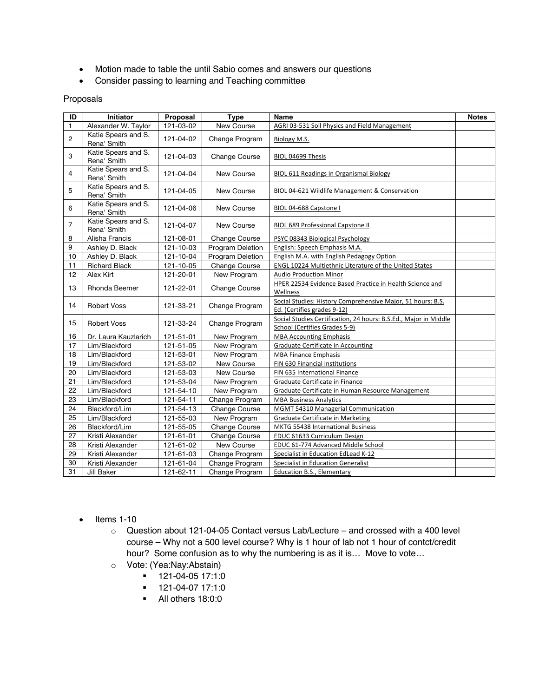- Motion made to table the until Sabio comes and answers our questions
- Consider passing to learning and Teaching committee

#### Proposals

| ID              | <b>Initiator</b>                   | Proposal  | <b>Type</b>          | Name                                                                                              | <b>Notes</b> |
|-----------------|------------------------------------|-----------|----------------------|---------------------------------------------------------------------------------------------------|--------------|
| $\mathbf{1}$    | Alexander W. Taylor                | 121-03-02 | New Course           | AGRI 03-531 Soil Physics and Field Management                                                     |              |
| $\overline{c}$  | Katie Spears and S.<br>Rena' Smith | 121-04-02 | Change Program       | Biology M.S.                                                                                      |              |
| 3               | Katie Spears and S.<br>Rena' Smith | 121-04-03 | Change Course        | BIOL 04699 Thesis                                                                                 |              |
| 4               | Katie Spears and S.<br>Rena' Smith | 121-04-04 | New Course           | BIOL 611 Readings in Organismal Biology                                                           |              |
| 5               | Katie Spears and S.<br>Rena' Smith | 121-04-05 | New Course           | BIOL 04-621 Wildlife Management & Conservation                                                    |              |
| 6               | Katie Spears and S.<br>Rena' Smith | 121-04-06 | New Course           | BIOL 04-688 Capstone I                                                                            |              |
| $\overline{7}$  | Katie Spears and S.<br>Rena' Smith | 121-04-07 | New Course           | <b>BIOL 689 Professional Capstone II</b>                                                          |              |
| 8               | Alisha Francis                     | 121-08-01 | <b>Change Course</b> | PSYC 08343 Biological Psychology                                                                  |              |
| 9               | Ashley D. Black                    | 121-10-03 | Program Deletion     | English: Speech Emphasis M.A.                                                                     |              |
| 10              | Ashley D. Black                    | 121-10-04 | Program Deletion     | English M.A. with English Pedagogy Option                                                         |              |
| 11              | <b>Richard Black</b>               | 121-10-05 | <b>Change Course</b> | <b>ENGL 10224 Multiethnic Literature of the United States</b>                                     |              |
| 12              | Alex Kirt                          | 121-20-01 | New Program          | <b>Audio Production Minor</b>                                                                     |              |
| 13              | Rhonda Beemer                      | 121-22-01 | Change Course        | HPER 22534 Evidence Based Practice in Health Science and<br>Wellness                              |              |
| 14              | <b>Robert Voss</b>                 | 121-33-21 | Change Program       | Social Studies: History Comprehensive Major, 51 hours: B.S.<br>Ed. (Certifies grades 9-12)        |              |
| 15              | <b>Robert Voss</b>                 | 121-33-24 | Change Program       | Social Studies Certification, 24 hours: B.S.Ed., Major in Middle<br>School (Certifies Grades 5-9) |              |
| 16              | Dr. Laura Kauzlarich               | 121-51-01 | New Program          | <b>MBA Accounting Emphasis</b>                                                                    |              |
| 17              | Lim/Blackford                      | 121-51-05 | New Program          | <b>Graduate Certificate in Accounting</b>                                                         |              |
| 18              | Lim/Blackford                      | 121-53-01 | New Program          | <b>MBA Finance Emphasis</b>                                                                       |              |
| 19              | Lim/Blackford                      | 121-53-02 | New Course           | FIN 630 Financial Institutions                                                                    |              |
| 20              | Lim/Blackford                      | 121-53-03 | New Course           | FIN 635 International Finance                                                                     |              |
| 21              | Lim/Blackford                      | 121-53-04 | New Program          | Graduate Certificate in Finance                                                                   |              |
| $\overline{22}$ | Lim/Blackford                      | 121-54-10 | New Program          | Graduate Certificate in Human Resource Management                                                 |              |
| 23              | Lim/Blackford                      | 121-54-11 | Change Program       | <b>MBA Business Analytics</b>                                                                     |              |
| 24              | Blackford/Lim                      | 121-54-13 | Change Course        | <b>MGMT 54310 Managerial Communication</b>                                                        |              |
| 25              | Lim/Blackford                      | 121-55-03 | New Program          | Graduate Certificate in Marketing                                                                 |              |
| 26              | Blackford/Lim                      | 121-55-05 | Change Course        | MKTG 55438 International Business                                                                 |              |
| 27              | Kristi Alexander                   | 121-61-01 | Change Course        | EDUC 61633 Curriculum Design                                                                      |              |
| 28              | Kristi Alexander                   | 121-61-02 | New Course           | EDUC 61-774 Advanced Middle School                                                                |              |
| 29              | Kristi Alexander                   | 121-61-03 | Change Program       | Specialist in Education EdLead K-12                                                               |              |
| 30              | Kristi Alexander                   | 121-61-04 | Change Program       | Specialist in Education Generalist                                                                |              |
| 31              | Jill Baker                         | 121-62-11 | Change Program       | <b>Education B.S., Elementary</b>                                                                 |              |

- Items 1-10
	- o Question about 121-04-05 Contact versus Lab/Lecture and crossed with a 400 level course – Why not a 500 level course? Why is 1 hour of lab not 1 hour of contct/credit hour? Some confusion as to why the numbering is as it is… Move to vote…
	- o Vote: (Yea:Nay:Abstain)
		- § 121-04-05 17:1:0
		- $\blacksquare$  121-04-07 17:1:0
		- All others 18:0:0